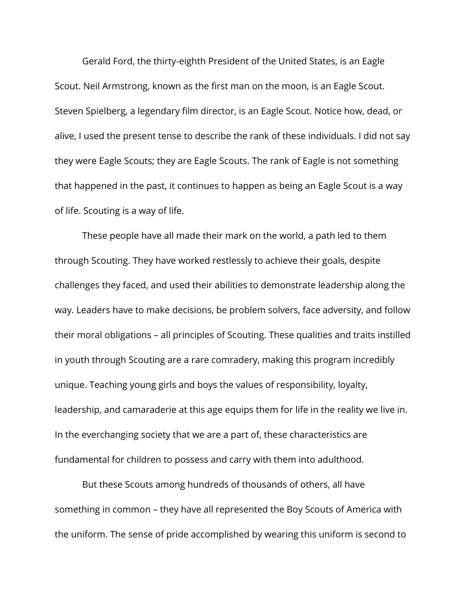Gerald Ford, the thirty-eighth President of the United States, is an Eagle Scout. Neil Armstrong, known as the first man on the moon, is an Eagle Scout. Steven Spielberg, a legendary film director, is an Eagle Scout. Notice how, dead, or alive, I used the present tense to describe the rank of these individuals. I did not say they were Eagle Scouts; they are Eagle Scouts. The rank of Eagle is not something that happened in the past, it continues to happen as being an Eagle Scout is a way of life. Scouting is a way of life.

These people have all made their mark on the world, a path led to them through Scouting. They have worked restlessly to achieve their goals, despite challenges they faced, and used their abilities to demonstrate leadership along the way. Leaders have to make decisions, be problem solvers, face adversity, and follow their moral obligations – all principles of Scouting. These qualities and traits instilled in youth through Scouting are a rare comradery, making this program incredibly unique. Teaching young girls and boys the values of responsibility, loyalty, leadership, and camaraderie at this age equips them for life in the reality we live in. In the everchanging society that we are a part of, these characteristics are fundamental for children to possess and carry with them into adulthood.

But these Scouts among hundreds of thousands of others, all have something in common – they have all represented the Boy Scouts of America with the uniform. The sense of pride accomplished by wearing this uniform is second to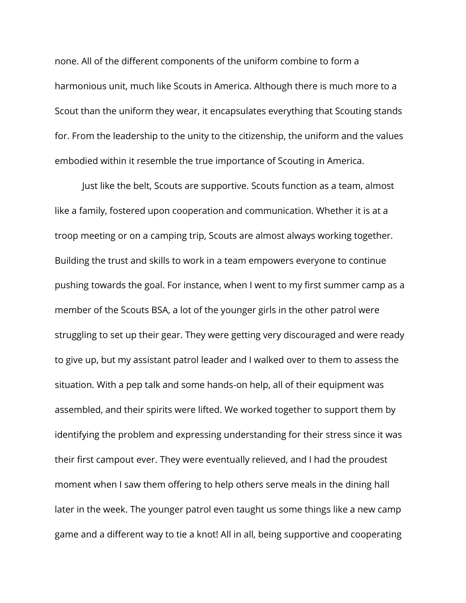none. All of the different components of the uniform combine to form a harmonious unit, much like Scouts in America. Although there is much more to a Scout than the uniform they wear, it encapsulates everything that Scouting stands for. From the leadership to the unity to the citizenship, the uniform and the values embodied within it resemble the true importance of Scouting in America.

Just like the belt, Scouts are supportive. Scouts function as a team, almost like a family, fostered upon cooperation and communication. Whether it is at a troop meeting or on a camping trip, Scouts are almost always working together. Building the trust and skills to work in a team empowers everyone to continue pushing towards the goal. For instance, when I went to my first summer camp as a member of the Scouts BSA, a lot of the younger girls in the other patrol were struggling to set up their gear. They were getting very discouraged and were ready to give up, but my assistant patrol leader and I walked over to them to assess the situation. With a pep talk and some hands-on help, all of their equipment was assembled, and their spirits were lifted. We worked together to support them by identifying the problem and expressing understanding for their stress since it was their first campout ever. They were eventually relieved, and I had the proudest moment when I saw them offering to help others serve meals in the dining hall later in the week. The younger patrol even taught us some things like a new camp game and a different way to tie a knot! All in all, being supportive and cooperating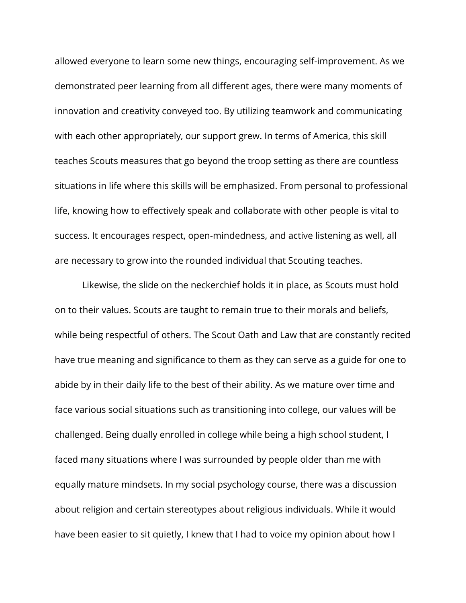allowed everyone to learn some new things, encouraging self-improvement. As we demonstrated peer learning from all different ages, there were many moments of innovation and creativity conveyed too. By utilizing teamwork and communicating with each other appropriately, our support grew. In terms of America, this skill teaches Scouts measures that go beyond the troop setting as there are countless situations in life where this skills will be emphasized. From personal to professional life, knowing how to effectively speak and collaborate with other people is vital to success. It encourages respect, open-mindedness, and active listening as well, all are necessary to grow into the rounded individual that Scouting teaches.

Likewise, the slide on the neckerchief holds it in place, as Scouts must hold on to their values. Scouts are taught to remain true to their morals and beliefs, while being respectful of others. The Scout Oath and Law that are constantly recited have true meaning and significance to them as they can serve as a guide for one to abide by in their daily life to the best of their ability. As we mature over time and face various social situations such as transitioning into college, our values will be challenged. Being dually enrolled in college while being a high school student, I faced many situations where I was surrounded by people older than me with equally mature mindsets. In my social psychology course, there was a discussion about religion and certain stereotypes about religious individuals. While it would have been easier to sit quietly, I knew that I had to voice my opinion about how I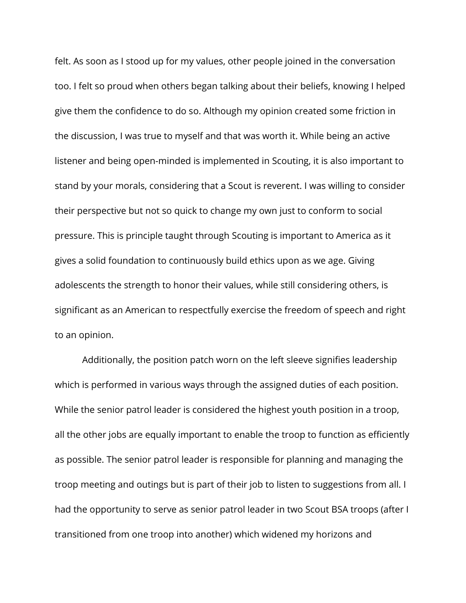felt. As soon as I stood up for my values, other people joined in the conversation too. I felt so proud when others began talking about their beliefs, knowing I helped give them the confidence to do so. Although my opinion created some friction in the discussion, I was true to myself and that was worth it. While being an active listener and being open-minded is implemented in Scouting, it is also important to stand by your morals, considering that a Scout is reverent. I was willing to consider their perspective but not so quick to change my own just to conform to social pressure. This is principle taught through Scouting is important to America as it gives a solid foundation to continuously build ethics upon as we age. Giving adolescents the strength to honor their values, while still considering others, is significant as an American to respectfully exercise the freedom of speech and right to an opinion.

Additionally, the position patch worn on the left sleeve signifies leadership which is performed in various ways through the assigned duties of each position. While the senior patrol leader is considered the highest youth position in a troop, all the other jobs are equally important to enable the troop to function as efficiently as possible. The senior patrol leader is responsible for planning and managing the troop meeting and outings but is part of their job to listen to suggestions from all. I had the opportunity to serve as senior patrol leader in two Scout BSA troops (after I transitioned from one troop into another) which widened my horizons and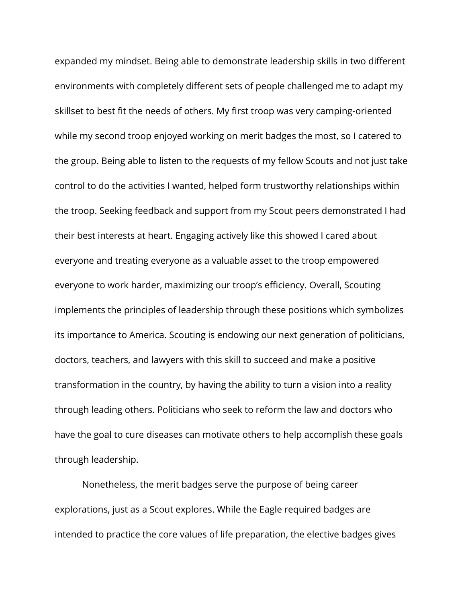expanded my mindset. Being able to demonstrate leadership skills in two different environments with completely different sets of people challenged me to adapt my skillset to best fit the needs of others. My first troop was very camping-oriented while my second troop enjoyed working on merit badges the most, so I catered to the group. Being able to listen to the requests of my fellow Scouts and not just take control to do the activities I wanted, helped form trustworthy relationships within the troop. Seeking feedback and support from my Scout peers demonstrated I had their best interests at heart. Engaging actively like this showed I cared about everyone and treating everyone as a valuable asset to the troop empowered everyone to work harder, maximizing our troop's efficiency. Overall, Scouting implements the principles of leadership through these positions which symbolizes its importance to America. Scouting is endowing our next generation of politicians, doctors, teachers, and lawyers with this skill to succeed and make a positive transformation in the country, by having the ability to turn a vision into a reality through leading others. Politicians who seek to reform the law and doctors who have the goal to cure diseases can motivate others to help accomplish these goals through leadership.

Nonetheless, the merit badges serve the purpose of being career explorations, just as a Scout explores. While the Eagle required badges are intended to practice the core values of life preparation, the elective badges gives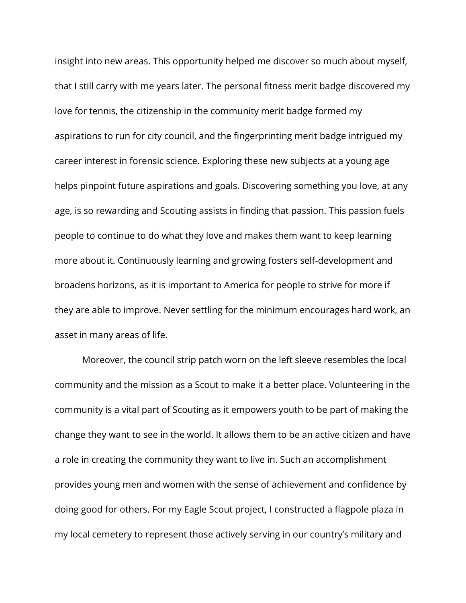insight into new areas. This opportunity helped me discover so much about myself, that I still carry with me years later. The personal fitness merit badge discovered my love for tennis, the citizenship in the community merit badge formed my aspirations to run for city council, and the fingerprinting merit badge intrigued my career interest in forensic science. Exploring these new subjects at a young age helps pinpoint future aspirations and goals. Discovering something you love, at any age, is so rewarding and Scouting assists in finding that passion. This passion fuels people to continue to do what they love and makes them want to keep learning more about it. Continuously learning and growing fosters self-development and broadens horizons, as it is important to America for people to strive for more if they are able to improve. Never settling for the minimum encourages hard work, an asset in many areas of life.

Moreover, the council strip patch worn on the left sleeve resembles the local community and the mission as a Scout to make it a better place. Volunteering in the community is a vital part of Scouting as it empowers youth to be part of making the change they want to see in the world. It allows them to be an active citizen and have a role in creating the community they want to live in. Such an accomplishment provides young men and women with the sense of achievement and confidence by doing good for others. For my Eagle Scout project, I constructed a flagpole plaza in my local cemetery to represent those actively serving in our country's military and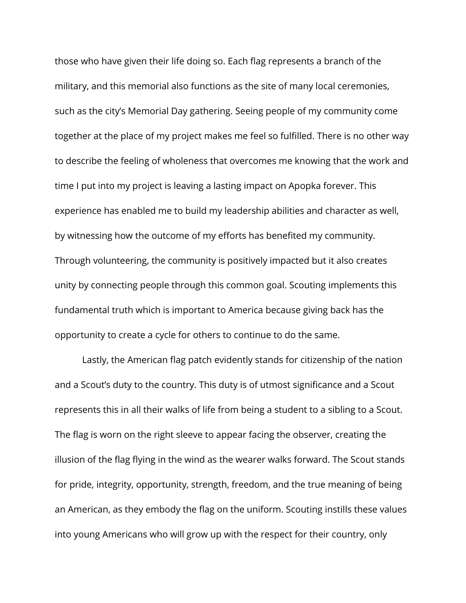those who have given their life doing so. Each flag represents a branch of the military, and this memorial also functions as the site of many local ceremonies, such as the city's Memorial Day gathering. Seeing people of my community come together at the place of my project makes me feel so fulfilled. There is no other way to describe the feeling of wholeness that overcomes me knowing that the work and time I put into my project is leaving a lasting impact on Apopka forever. This experience has enabled me to build my leadership abilities and character as well, by witnessing how the outcome of my efforts has benefited my community. Through volunteering, the community is positively impacted but it also creates unity by connecting people through this common goal. Scouting implements this fundamental truth which is important to America because giving back has the opportunity to create a cycle for others to continue to do the same.

Lastly, the American flag patch evidently stands for citizenship of the nation and a Scout's duty to the country. This duty is of utmost significance and a Scout represents this in all their walks of life from being a student to a sibling to a Scout. The flag is worn on the right sleeve to appear facing the observer, creating the illusion of the flag flying in the wind as the wearer walks forward. The Scout stands for pride, integrity, opportunity, strength, freedom, and the true meaning of being an American, as they embody the flag on the uniform. Scouting instills these values into young Americans who will grow up with the respect for their country, only